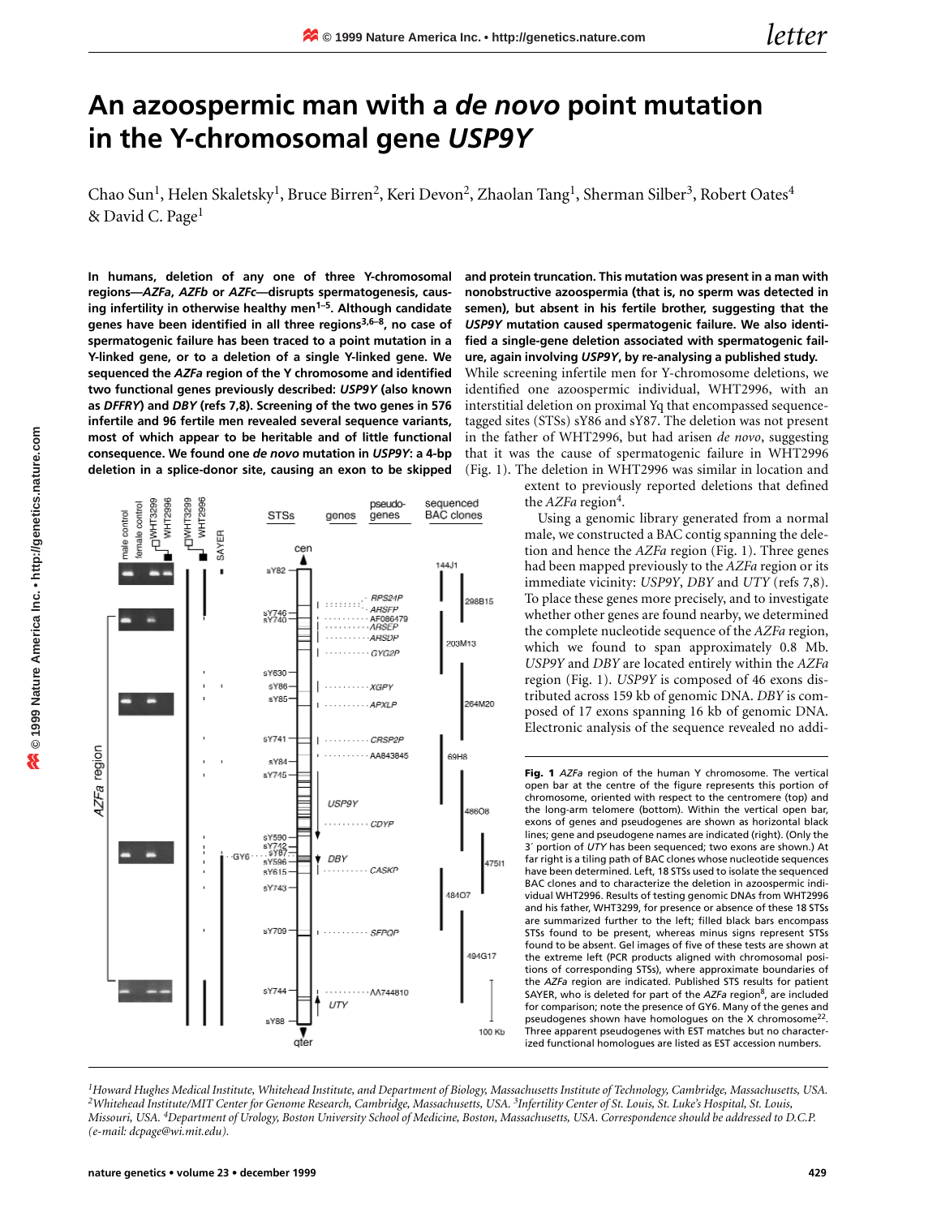## **An azoospermic man with a** *de novo* **point mutation in the Y-chromosomal gene** *USP9Y*

Chao Sun<sup>1</sup>, Helen Skaletsky<sup>1</sup>, Bruce Birren<sup>2</sup>, Keri Devon<sup>2</sup>, Zhaolan Tang<sup>1</sup>, Sherman Silber<sup>3</sup>, Robert Oates<sup>4</sup> & David C. Page<sup>1</sup>

**In humans, deletion of any one of three Y-chromosomal regions—***AZFa***,** *AZFb* **or** *AZFc***—disrupts spermatogenesis, causing infertility in otherwise healthy men1–5. Although candidate genes have been identified in all three regions3,6–8, no case of spermatogenic failure has been traced to a point mutation in a Y-linked gene, or to a deletion of a single Y-linked gene. We sequenced the** *AZFa* **region of the Y chromosome and identified two functional genes previously described:** *USP9Y* **(also known as** *DFFRY***) and** *DBY* **(refs 7,8). Screening of the two genes in 576 infertile and 96 fertile men revealed several sequence variants, most of which appear to be heritable and of little functional consequence. We found one** *de novo* **mutation in** *USP9Y***: a 4-bp deletion in a splice-donor site, causing an exon to be skipped**

pseudosequenced **PIANHT3299** Джнтзгэ WHT299 WHT299 emale contro **STSs** genes **BAC** clones nale control genes SAYER cer ▲  $144.11$ sY82 RPS24F 298B15 ARSFF sY746<br>sY740 AF086479<br>ARSEP -AHSDF 203M13 GYG2F sY630 sY86 XGPY s Y 85 264M20 APXI F sY741 .CRSP2F AA843848 69H8 sY84 sY745 USP9Y · CDYF sY590 sY742<br>\$Y87 e GY6 **DBY** sY596 47511 CASKE sY615 sY743 48407 sY709 **SFPQF** 494G17 sY744 · AA744810 UTY sY88

gte

**and protein truncation. This mutation was present in a man with nonobstructive azoospermia (that is, no sperm was detected in semen), but absent in his fertile brother, suggesting that the** *USP9Y* **mutation caused spermatogenic failure. We also identified a single-gene deletion associated with spermatogenic failure, again involving** *USP9Y***, by re-analysing a published study.**

While screening infertile men for Y-chromosome deletions, we identified one azoospermic individual, WHT2996, with an interstitial deletion on proximal Yq that encompassed sequencetagged sites (STSs) sY86 and sY87. The deletion was not present in the father of WHT2996, but had arisen *de novo*, suggesting that it was the cause of spermatogenic failure in WHT2996 (Fig. 1). The deletion in WHT2996 was similar in location and

> extent to previously reported deletions that defined the *AZFa* region<sup>4</sup>.

Using a genomic library generated from a normal male, we constructed a BAC contig spanning the deletion and hence the *AZFa* region (Fig. 1). Three genes had been mapped previously to the *AZFa* region or its immediate vicinity: *USP9Y*, *DBY* and *UTY* (refs 7,8). To place these genes more precisely, and to investigate whether other genes are found nearby, we determined the complete nucleotide sequence of the *AZFa* region, which we found to span approximately 0.8 Mb. *USP9Y* and *DBY* are located entirely within the *AZFa* region (Fig. 1). *USP9Y* is composed of 46 exons distributed across 159 kb of genomic DNA. *DBY* is composed of 17 exons spanning 16 kb of genomic DNA. Electronic analysis of the sequence revealed no addi-

**Fig. 1** *AZFa* region of the human Y chromosome. The vertical open bar at the centre of the figure represents this portion of chromosome, oriented with respect to the centromere (top) and the long-arm telomere (bottom). Within the vertical open bar, exons of genes and pseudogenes are shown as horizontal black lines; gene and pseudogene names are indicated (right). (Only the 3´ portion of *UTY* has been sequenced; two exons are shown.) At far right is a tiling path of BAC clones whose nucleotide sequences have been determined. Left, 18 STSs used to isolate the sequenced BAC clones and to characterize the deletion in azoospermic individual WHT2996. Results of testing genomic DNAs from WHT2996 and his father, WHT3299, for presence or absence of these 18 STSs are summarized further to the left; filled black bars encompass STSs found to be present, whereas minus signs represent STSs found to be absent. Gel images of five of these tests are shown at the extreme left (PCR products aligned with chromosomal positions of corresponding STSs), where approximate boundaries of the *AZFa* region are indicated. Published STS results for patient SAYER, who is deleted for part of the *AZFa* region<sup>8</sup>, are included for comparison; note the presence of GY6. Many of the genes and pseudogenes shown have homologues on the X chromosome<sup>22</sup>. Three apparent pseudogenes with EST matches but no characterized functional homologues are listed as EST accession numbers.

<sup>1</sup>Howard Hughes Medical Institute, Whitehead Institute, and Department of Biology, Massachusetts Institute of Technology, Cambridge, Massachusetts, USA.<br><sup>2</sup>Whitehead Institute/MIT Center for Genome Research, Cambridge, Ma *Missouri, USA. 4Department of Urology, Boston University School of Medicine, Boston, Massachusetts, USA. Correspondence should be addressed to D.C.P. (e-mail: dcpage@wi.mit.edu).*

100 Kb



20 o 1999 Nature America Inc. . http://genetics.nature.com **© 1999 Nature America Inc. • http://genetics.nature.com**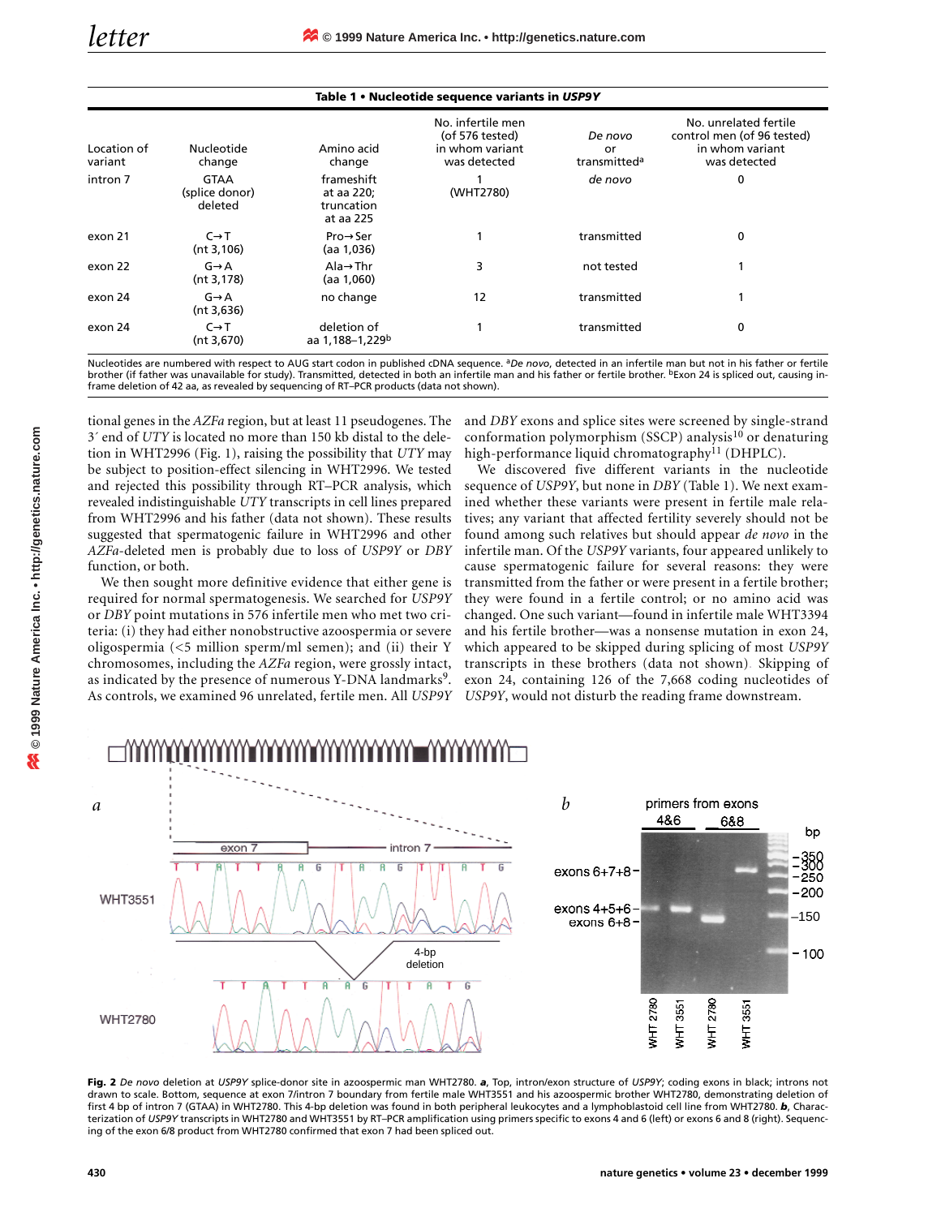| Table 1 • Nucleotide sequence variants in USP9Y |                                          |                                                     |                                                                         |                                           |                                                                                        |
|-------------------------------------------------|------------------------------------------|-----------------------------------------------------|-------------------------------------------------------------------------|-------------------------------------------|----------------------------------------------------------------------------------------|
| Location of<br>variant                          | Nucleotide<br>change                     | Amino acid<br>change                                | No. infertile men<br>(of 576 tested)<br>in whom variant<br>was detected | De novo<br>or<br>transmitted <sup>a</sup> | No. unrelated fertile<br>control men (of 96 tested)<br>in whom variant<br>was detected |
| intron 7                                        | <b>GTAA</b><br>(splice donor)<br>deleted | frameshift<br>at aa 220;<br>truncation<br>at aa 225 | (WHT2780)                                                               | de novo                                   | 0                                                                                      |
| exon 21                                         | $C \rightarrow T$<br>(nt 3, 106)         | $Pro \rightarrow Ser$<br>(aa 1,036)                 |                                                                         | transmitted                               | 0                                                                                      |
| exon 22                                         | $G \rightarrow A$<br>(nt 3, 178)         | Ala $\rightarrow$ Thr<br>(aa 1,060)                 | 3                                                                       | not tested                                |                                                                                        |
| exon 24                                         | $G \rightarrow A$<br>(nt 3,636)          | no change                                           | 12                                                                      | transmitted                               |                                                                                        |
| exon 24                                         | $C \rightarrow T$<br>(nt 3,670)          | deletion of<br>aa 1,188–1,229b                      |                                                                         | transmitted                               | 0                                                                                      |

Nucleotides are numbered with respect to AUG start codon in published cDNA sequence. a*De novo*, detected in an infertile man but not in his father or fertile brother (if father was unavailable for study). Transmitted, detected in both an infertile man and his father or fertile brother. **bExon 24 is spliced out, causing in**frame deletion of 42 aa, as revealed by sequencing of RT–PCR products (data not shown).

tional genes in the *AZFa* region, but at least 11 pseudogenes. The 3´ end of *UTY* is located no more than 150 kb distal to the deletion in WHT2996 (Fig. 1), raising the possibility that *UTY* may be subject to position-effect silencing in WHT2996. We tested and rejected this possibility through RT–PCR analysis, which revealed indistinguishable *UTY* transcripts in cell lines prepared from WHT2996 and his father (data not shown). These results suggested that spermatogenic failure in WHT2996 and other *AZFa*-deleted men is probably due to loss of *USP9Y* or *DBY* function, or both.

We then sought more definitive evidence that either gene is required for normal spermatogenesis. We searched for *USP9Y* or *DBY* point mutations in 576 infertile men who met two criteria: (i) they had either nonobstructive azoospermia or severe oligospermia (<5 million sperm/ml semen); and (ii) their Y chromosomes, including the *AZFa* region, were grossly intact, as indicated by the presence of numerous Y-DNA landmarks<sup>9</sup>. As controls, we examined 96 unrelated, fertile men. All *USP9Y*

and *DBY* exons and splice sites were screened by single-strand conformation polymorphism (SSCP) analysis<sup>10</sup> or denaturing high-performance liquid chromatography<sup>11</sup> (DHPLC).

We discovered five different variants in the nucleotide sequence of *USP9Y*, but none in *DBY* (Table 1). We next examined whether these variants were present in fertile male relatives; any variant that affected fertility severely should not be found among such relatives but should appear *de novo* in the infertile man. Of the *USP9Y* variants, four appeared unlikely to cause spermatogenic failure for several reasons: they were transmitted from the father or were present in a fertile brother; they were found in a fertile control; or no amino acid was changed. One such variant—found in infertile male WHT3394 and his fertile brother—was a nonsense mutation in exon 24, which appeared to be skipped during splicing of most *USP9Y* transcripts in these brothers (data not shown). Skipping of exon 24, containing 126 of the 7,668 coding nucleotides of *USP9Y*, would not disturb the reading frame downstream.



**Fig. 2** *De novo* deletion at *USP9Y* splice-donor site in azoospermic man WHT2780. *a*, Top, intron/exon structure of *USP9Y*; coding exons in black; introns not drawn to scale. Bottom, sequence at exon 7/intron 7 boundary from fertile male WHT3551 and his azoospermic brother WHT2780, demonstrating deletion of first 4 bp of intron 7 (GTAA) in WHT2780. This 4-bp deletion was found in both peripheral leukocytes and a lymphoblastoid cell line from WHT2780. *b*, Characterization of *USP9Y* transcripts in WHT2780 and WHT3551 by RT–PCR amplification using primers specific to exons 4 and 6 (left) or exons 6 and 8 (right). Sequencing of the exon 6/8 product from WHT2780 confirmed that exon 7 had been spliced out.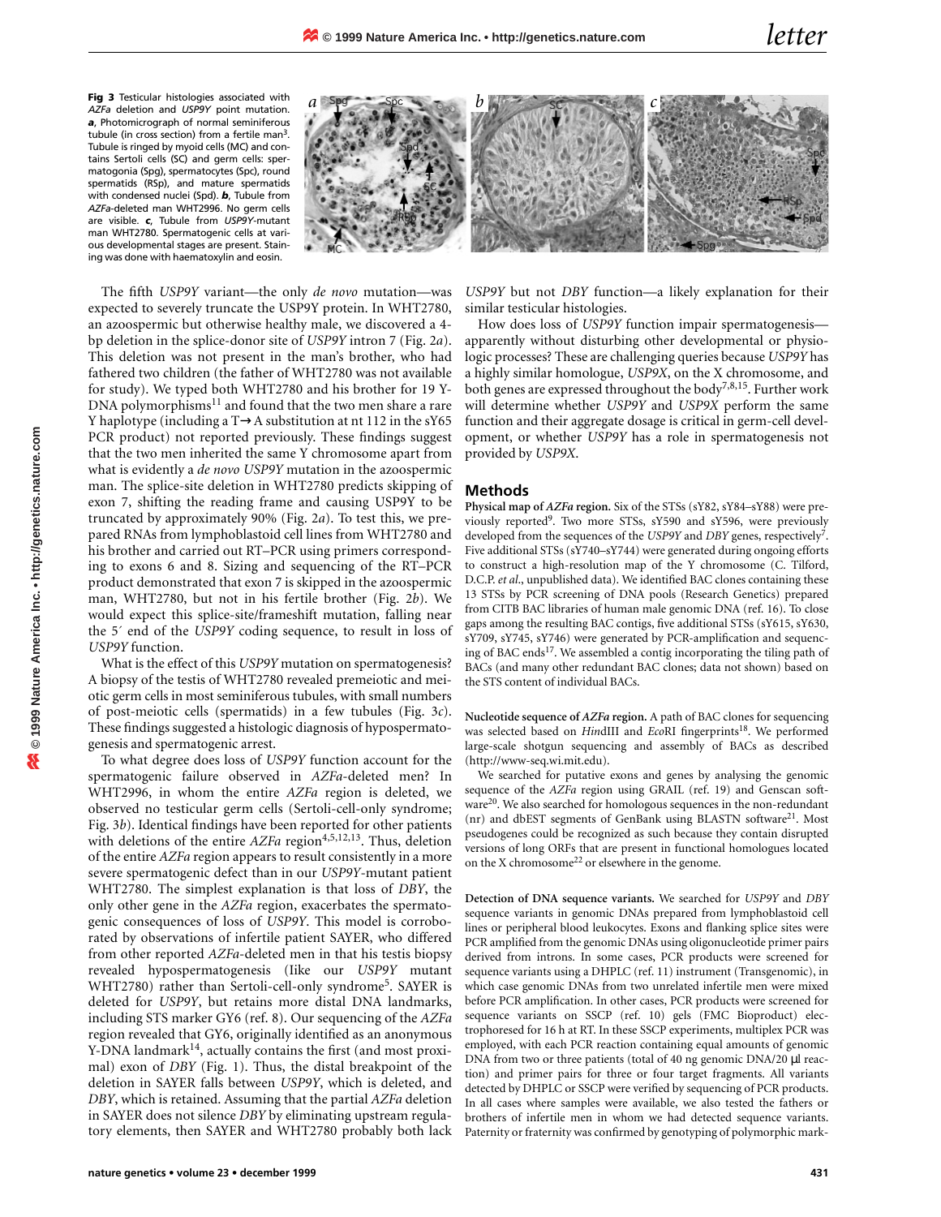**Fig 3** Testicular histologies associated with *AZFa* deletion and *USP9Y* point mutation. *a*, Photomicrograph of normal seminiferous tubule (in cross section) from a fertile man $3$ . Tubule is ringed by myoid cells (MC) and contains Sertoli cells (SC) and germ cells: spermatogonia (Spg), spermatocytes (Spc), round spermatids (RSp), and mature spermatids with condensed nuclei (Spd). *b*, Tubule from *AZFa*-deleted man WHT2996. No germ cells are visible. *c*, Tubule from *USP9Y*-mutant man WHT2780. Spermatogenic cells at various developmental stages are present. Staining was done with haematoxylin and eosin.



The fifth *USP9Y* variant—the only *de novo* mutation—was expected to severely truncate the USP9Y protein. In WHT2780, an azoospermic but otherwise healthy male, we discovered a 4 bp deletion in the splice-donor site of *USP9Y* intron 7 (Fig. 2*a*). This deletion was not present in the man's brother, who had fathered two children (the father of WHT2780 was not available for study). We typed both WHT2780 and his brother for 19 Y-DNA polymorphisms<sup>11</sup> and found that the two men share a rare Y haplotype (including a T→A substitution at nt 112 in the sY65 PCR product) not reported previously. These findings suggest that the two men inherited the same Y chromosome apart from what is evidently a *de novo USP9Y* mutation in the azoospermic man. The splice-site deletion in WHT2780 predicts skipping of exon 7, shifting the reading frame and causing USP9Y to be truncated by approximately 90% (Fig. 2*a*). To test this, we prepared RNAs from lymphoblastoid cell lines from WHT2780 and his brother and carried out RT–PCR using primers corresponding to exons 6 and 8. Sizing and sequencing of the RT–PCR product demonstrated that exon 7 is skipped in the azoospermic man, WHT2780, but not in his fertile brother (Fig. 2*b*). We would expect this splice-site/frameshift mutation, falling near the 5´ end of the *USP9Y* coding sequence, to result in loss of *USP9Y* function.

What is the effect of this *USP9Y* mutation on spermatogenesis? A biopsy of the testis of WHT2780 revealed premeiotic and meiotic germ cells in most seminiferous tubules, with small numbers of post-meiotic cells (spermatids) in a few tubules (Fig. 3*c*). These findings suggested a histologic diagnosis of hypospermatogenesis and spermatogenic arrest.

To what degree does loss of *USP9Y* function account for the spermatogenic failure observed in *AZFa*-deleted men? In WHT2996, in whom the entire *AZFa* region is deleted, we observed no testicular germ cells (Sertoli-cell-only syndrome; Fig. 3*b*). Identical findings have been reported for other patients with deletions of the entire *AZFa* region<sup>4,5,12,13</sup>. Thus, deletion of the entire *AZFa* region appears to result consistently in a more severe spermatogenic defect than in our *USP9Y*-mutant patient WHT2780. The simplest explanation is that loss of *DBY*, the only other gene in the *AZFa* region, exacerbates the spermatogenic consequences of loss of *USP9Y*. This model is corroborated by observations of infertile patient SAYER, who differed from other reported *AZFa*-deleted men in that his testis biopsy revealed hypospermatogenesis (Iike our *USP9Y* mutant WHT2780) rather than Sertoli-cell-only syndrome5. SAYER is deleted for *USP9Y*, but retains more distal DNA landmarks, including STS marker GY6 (ref. 8). Our sequencing of the *AZFa* region revealed that GY6, originally identified as an anonymous Y-DNA landmark<sup>14</sup>, actually contains the first (and most proximal) exon of *DBY* (Fig. 1). Thus, the distal breakpoint of the deletion in SAYER falls between *USP9Y*, which is deleted, and *DBY*, which is retained. Assuming that the partial *AZFa* deletion in SAYER does not silence *DBY* by eliminating upstream regulatory elements, then SAYER and WHT2780 probably both lack

*USP9Y* but not *DBY* function—a likely explanation for their similar testicular histologies.

How does loss of *USP9Y* function impair spermatogenesis apparently without disturbing other developmental or physiologic processes? These are challenging queries because *USP9Y* has a highly similar homologue, *USP9X*, on the X chromosome, and both genes are expressed throughout the body<sup>7,8,15</sup>. Further work will determine whether *USP9Y* and *USP9X* perform the same function and their aggregate dosage is critical in germ-cell development, or whether *USP9Y* has a role in spermatogenesis not provided by *USP9X*.

## **Methods**

**Physical map of** *AZFa* **region.** Six of the STSs (sY82, sY84–sY88) were previously reported<sup>9</sup>. Two more STSs, sY590 and sY596, were previously developed from the sequences of the *USP9Y* and *DBY* genes, respectively7. Five additional STSs (sY740–sY744) were generated during ongoing efforts to construct a high-resolution map of the Y chromosome (C. Tilford, D.C.P. *et al*., unpublished data). We identified BAC clones containing these 13 STSs by PCR screening of DNA pools (Research Genetics) prepared from CITB BAC libraries of human male genomic DNA (ref. 16). To close gaps among the resulting BAC contigs, five additional STSs (sY615, sY630, sY709, sY745, sY746) were generated by PCR-amplification and sequencing of BAC ends<sup>17</sup>. We assembled a contig incorporating the tiling path of BACs (and many other redundant BAC clones; data not shown) based on the STS content of individual BACs.

**Nucleotide sequence of** *AZFa* **region.** A path of BAC clones for sequencing was selected based on *HindIII* and *EcoRI* fingerprints<sup>18</sup>. We performed large-scale shotgun sequencing and assembly of BACs as described (http://www-seq.wi.mit.edu).

We searched for putative exons and genes by analysing the genomic sequence of the *AZFa* region using GRAIL (ref. 19) and Genscan software<sup>20</sup>. We also searched for homologous sequences in the non-redundant (nr) and dbEST segments of GenBank using BLASTN software<sup>21</sup>. Most pseudogenes could be recognized as such because they contain disrupted versions of long ORFs that are present in functional homologues located on the X chromosome<sup>22</sup> or elsewhere in the genome.

**Detection of DNA sequence variants.** We searched for *USP9Y* and *DBY* sequence variants in genomic DNAs prepared from lymphoblastoid cell lines or peripheral blood leukocytes. Exons and flanking splice sites were PCR amplified from the genomic DNAs using oligonucleotide primer pairs derived from introns. In some cases, PCR products were screened for sequence variants using a DHPLC (ref. 11) instrument (Transgenomic), in which case genomic DNAs from two unrelated infertile men were mixed before PCR amplification. In other cases, PCR products were screened for sequence variants on SSCP (ref. 10) gels (FMC Bioproduct) electrophoresed for 16 h at RT. In these SSCP experiments, multiplex PCR was employed, with each PCR reaction containing equal amounts of genomic DNA from two or three patients (total of 40 ng genomic DNA/20 µl reaction) and primer pairs for three or four target fragments. All variants detected by DHPLC or SSCP were verified by sequencing of PCR products. In all cases where samples were available, we also tested the fathers or brothers of infertile men in whom we had detected sequence variants. Paternity or fraternity was confirmed by genotyping of polymorphic mark